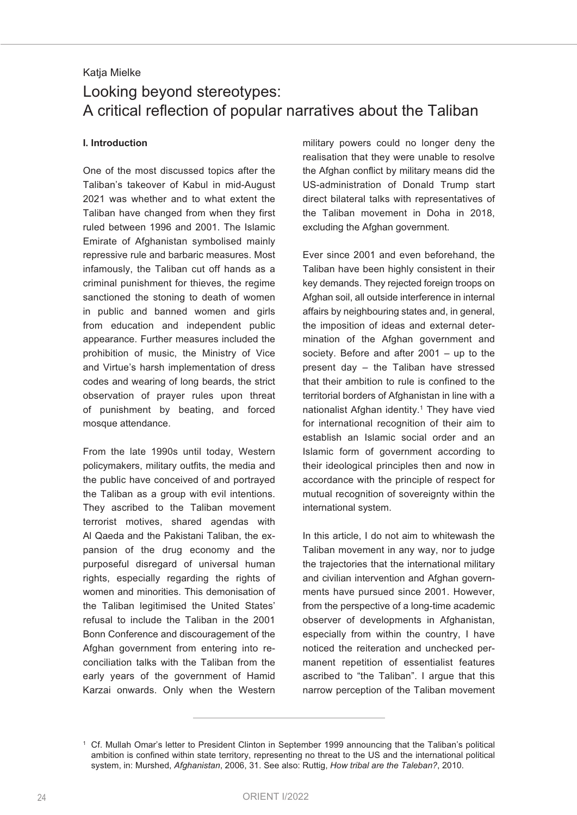# Katja Mielke Looking beyond stereotypes: A critical reflection of popular narratives about the Taliban

#### **I. Introduction**

One of the most discussed topics after the Taliban's takeover of Kabul in mid-August 2021 was whether and to what extent the Taliban have changed from when they first ruled between 1996 and 2001. The Islamic Emirate of Afghanistan symbolised mainly repressive rule and barbaric measures. Most infamously, the Taliban cut off hands as a criminal punishment for thieves, the regime sanctioned the stoning to death of women in public and banned women and girls from education and independent public appearance. Further measures included the prohibition of music, the Ministry of Vice and Virtue's harsh implementation of dress codes and wearing of long beards, the strict observation of prayer rules upon threat of punishment by beating, and forced mosque attendance.

From the late 1990s until today, Western policymakers, military outfits, the media and the public have conceived of and portrayed the Taliban as a group with evil intentions. They ascribed to the Taliban movement terrorist motives, shared agendas with Al Qaeda and the Pakistani Taliban, the expansion of the drug economy and the purposeful disregard of universal human rights, especially regarding the rights of women and minorities. This demonisation of the Taliban legitimised the United States' refusal to include the Taliban in the 2001 Bonn Conference and discouragement of the Afghan government from entering into reconciliation talks with the Taliban from the early years of the government of Hamid Karzai onwards. Only when the Western

military powers could no longer deny the realisation that they were unable to resolve the Afghan conflict by military means did the US-administration of Donald Trump start direct bilateral talks with representatives of the Taliban movement in Doha in 2018, excluding the Afghan government.

Ever since 2001 and even beforehand, the Taliban have been highly consistent in their key demands. They rejected foreign troops on Afghan soil, all outside interference in internal affairs by neighbouring states and, in general, the imposition of ideas and external determination of the Afghan government and society. Before and after 2001 – up to the present day – the Taliban have stressed that their ambition to rule is confined to the territorial borders of Afghanistan in line with a nationalist Afghan identity. <sup>1</sup> They have vied for international recognition of their aim to establish an Islamic social order and an Islamic form of government according to their ideological principles then and now in accordance with the principle of respect for mutual recognition of sovereignty within the international system.

In this article, I do not aim to whitewash the Taliban movement in any way, nor to judge the trajectories that the international military and civilian intervention and Afghan governments have pursued since 2001. However, from the perspective of a long-time academic observer of developments in Afghanistan, especially from within the country, I have noticed the reiteration and unchecked permanent repetition of essentialist features ascribed to "the Taliban". I argue that this narrow perception of the Taliban movement

<sup>1</sup> Cf. Mullah Omar's letter to President Clinton in September 1999 announcing that the Taliban's political ambition is confined within state territory, representing no threat to the US and the international political system, in: Murshed, *Afghanistan*, 2006, 31. See also: Ruttig, *How tribal are the Taleban?*, 2010.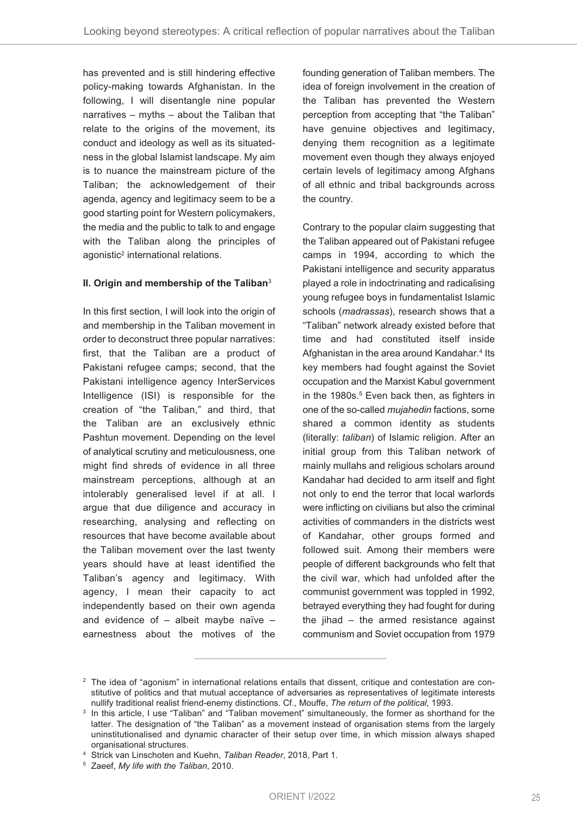has prevented and is still hindering effective policy-making towards Afghanistan. In the following, I will disentangle nine popular narratives – myths – about the Taliban that relate to the origins of the movement, its conduct and ideology as well as its situatedness in the global Islamist landscape. My aim is to nuance the mainstream picture of the Taliban; the acknowledgement of their agenda, agency and legitimacy seem to be a good starting point for Western policymakers, the media and the public to talk to and engage with the Taliban along the principles of agonistic<sup>2</sup> international relations.

#### **II. Origin and membership of the Taliban**<sup>3</sup>

In this first section, I will look into the origin of and membership in the Taliban movement in order to deconstruct three popular narratives: first, that the Taliban are a product of Pakistani refugee camps; second, that the Pakistani intelligence agency InterServices Intelligence (ISI) is responsible for the creation of "the Taliban," and third, that the Taliban are an exclusively ethnic Pashtun movement. Depending on the level of analytical scrutiny and meticulousness, one might find shreds of evidence in all three mainstream perceptions, although at an intolerably generalised level if at all. I argue that due diligence and accuracy in researching, analysing and reflecting on resources that have become available about the Taliban movement over the last twenty years should have at least identified the Taliban's agency and legitimacy. With agency, I mean their capacity to act independently based on their own agenda and evidence of  $-$  albeit maybe naïve  $$ earnestness about the motives of the

founding generation of Taliban members. The idea of foreign involvement in the creation of the Taliban has prevented the Western perception from accepting that "the Taliban" have genuine objectives and legitimacy, denying them recognition as a legitimate movement even though they always enjoyed certain levels of legitimacy among Afghans of all ethnic and tribal backgrounds across the country.

Contrary to the popular claim suggesting that the Taliban appeared out of Pakistani refugee camps in 1994, according to which the Pakistani intelligence and security apparatus played a role in indoctrinating and radicalising young refugee boys in fundamentalist Islamic schools (*madrassas*), research shows that a "Taliban" network already existed before that time and had constituted itself inside Afghanistan in the area around Kandahar. <sup>4</sup> Its key members had fought against the Soviet occupation and the Marxist Kabul government in the 1980s. <sup>5</sup> Even back then, as fighters in one of the so-called *mujahedin* factions, some shared a common identity as students (literally: *taliban*) of Islamic religion. After an initial group from this Taliban network of mainly mullahs and religious scholars around Kandahar had decided to arm itself and fight not only to end the terror that local warlords were inflicting on civilians but also the criminal activities of commanders in the districts west of Kandahar, other groups formed and followed suit. Among their members were people of different backgrounds who felt that the civil war, which had unfolded after the communist government was toppled in 1992, betrayed everything they had fought for during the jihad – the armed resistance against communism and Soviet occupation from 1979

<sup>&</sup>lt;sup>2</sup> The idea of "agonism" in international relations entails that dissent, critique and contestation are constitutive of politics and that mutual acceptance of adversaries as representatives of legitimate interests nullify traditional realist friend-enemy distinctions. Cf., Mouffe, *The return of the political*, 1993.

<sup>&</sup>lt;sup>3</sup> In this article, I use "Taliban" and "Taliban movement" simultaneously, the former as shorthand for the latter. The designation of "the Taliban" as a movement instead of organisation stems from the largely uninstitutionalised and dynamic character of their setup over time, in which mission always shaped organisational structures.

<sup>4</sup> Strick van Linschoten and Kuehn, *Taliban Reader*, 2018, Part 1.

<sup>5</sup> Zaeef, *My life with the Taliban*, 2010.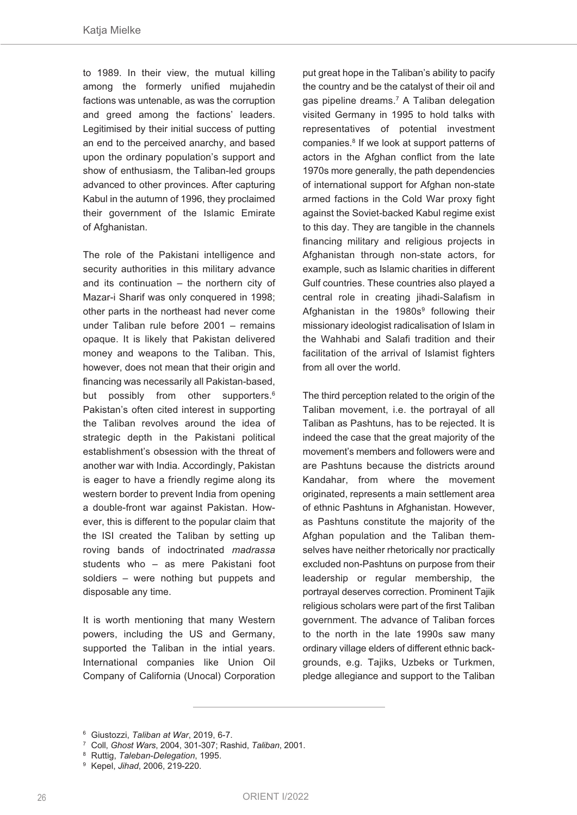to 1989. In their view, the mutual killing among the formerly unified mujahedin factions was untenable, as was the corruption and greed among the factions' leaders. Legitimised by their initial success of putting an end to the perceived anarchy, and based upon the ordinary population's support and show of enthusiasm, the Taliban-led groups advanced to other provinces. After capturing Kabul in the autumn of 1996, they proclaimed their government of the Islamic Emirate of Afghanistan.

The role of the Pakistani intelligence and security authorities in this military advance and its continuation – the northern city of Mazar-i Sharif was only conquered in 1998; other parts in the northeast had never come under Taliban rule before 2001 – remains opaque. It is likely that Pakistan delivered money and weapons to the Taliban. This, however, does not mean that their origin and financing was necessarily all Pakistan-based, but possibly from other supporters. 6 Pakistan's often cited interest in supporting the Taliban revolves around the idea of strategic depth in the Pakistani political establishment's obsession with the threat of another war with India. Accordingly, Pakistan is eager to have a friendly regime along its western border to prevent India from opening a double-front war against Pakistan. However, this is different to the popular claim that the ISI created the Taliban by setting up roving bands of indoctrinated *madrassa* students who – as mere Pakistani foot soldiers – were nothing but puppets and disposable any time.

It is worth mentioning that many Western powers, including the US and Germany, supported the Taliban in the intial years. International companies like Union Oil Company of California (Unocal) Corporation

put great hope in the Taliban's ability to pacify the country and be the catalyst of their oil and gas pipeline dreams. <sup>7</sup> A Taliban delegation visited Germany in 1995 to hold talks with representatives of potential investment companies. <sup>8</sup> If we look at support patterns of actors in the Afghan conflict from the late 1970s more generally, the path dependencies of international support for Afghan non-state armed factions in the Cold War proxy fight against the Soviet-backed Kabul regime exist to this day. They are tangible in the channels financing military and religious projects in Afghanistan through non-state actors, for example, such as Islamic charities in different Gulf countries. These countries also played a central role in creating jihadi-Salafism in Afghanistan in the 1980s<sup>9</sup> following their missionary ideologist radicalisation of Islam in the Wahhabi and Salafi tradition and their facilitation of the arrival of Islamist fighters from all over the world.

The third perception related to the origin of the Taliban movement, i.e. the portrayal of all Taliban as Pashtuns, has to be rejected. It is indeed the case that the great majority of the movement's members and followers were and are Pashtuns because the districts around Kandahar, from where the movement originated, represents a main settlement area of ethnic Pashtuns in Afghanistan. However, as Pashtuns constitute the majority of the Afghan population and the Taliban themselves have neither rhetorically nor practically excluded non-Pashtuns on purpose from their leadership or regular membership, the portrayal deserves correction. Prominent Tajik religious scholars were part of the first Taliban government. The advance of Taliban forces to the north in the late 1990s saw many ordinary village elders of different ethnic backgrounds, e.g. Tajiks, Uzbeks or Turkmen, pledge allegiance and support to the Taliban

<sup>6</sup> Giustozzi, *Taliban at War*, 2019, 6-7.

<sup>7</sup> Coll, *Ghost Wars*, 2004, 301-307; Rashid, *Taliban*, 2001.

<sup>8</sup> Ruttig, *Taleban-Delegation*, 1995.

<sup>9</sup> Kepel, *Jihad*, 2006, 219-220.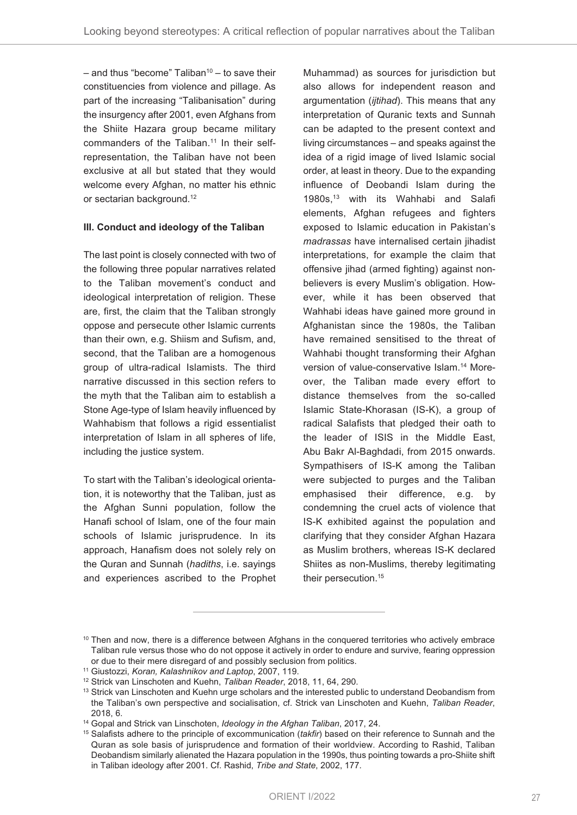– and thus "become" Taliban $10 -$  to save their constituencies from violence and pillage. As part of the increasing "Talibanisation" during the insurgency after 2001, even Afghans from the Shiite Hazara group became military commanders of the Taliban. <sup>11</sup> In their selfrepresentation, the Taliban have not been exclusive at all but stated that they would welcome every Afghan, no matter his ethnic or sectarian background. 12

#### **III. Conduct and ideology of the Taliban**

The last point is closely connected with two of the following three popular narratives related to the Taliban movement's conduct and ideological interpretation of religion. These are, first, the claim that the Taliban strongly oppose and persecute other Islamic currents than their own, e.g. Shiism and Sufism, and, second, that the Taliban are a homogenous group of ultra-radical Islamists. The third narrative discussed in this section refers to the myth that the Taliban aim to establish a Stone Age-type of Islam heavily influenced by Wahhabism that follows a rigid essentialist interpretation of Islam in all spheres of life, including the justice system.

To start with the Taliban's ideological orientation, it is noteworthy that the Taliban, just as the Afghan Sunni population, follow the Hanafi school of Islam, one of the four main schools of Islamic jurisprudence. In its approach, Hanafism does not solely rely on the Quran and Sunnah (*hadiths*, i.e. sayings and experiences ascribed to the Prophet

Muhammad) as sources for jurisdiction but also allows for independent reason and argumentation (*ijtihad*). This means that any interpretation of Quranic texts and Sunnah can be adapted to the present context and living circumstances – and speaks against the idea of a rigid image of lived Islamic social order, at least in theory. Due to the expanding influence of Deobandi Islam during the 1980s, <sup>13</sup> with its Wahhabi and Salafi elements, Afghan refugees and fighters exposed to Islamic education in Pakistan's *madrassas* have internalised certain jihadist interpretations, for example the claim that offensive jihad (armed fighting) against nonbelievers is every Muslim's obligation. However, while it has been observed that Wahhabi ideas have gained more ground in Afghanistan since the 1980s, the Taliban have remained sensitised to the threat of Wahhabi thought transforming their Afghan version of value-conservative Islam. <sup>14</sup> Moreover, the Taliban made every effort to distance themselves from the so-called Islamic State-Khorasan (IS-K), a group of radical Salafists that pledged their oath to the leader of ISIS in the Middle East, Abu Bakr Al-Baghdadi, from 2015 onwards. Sympathisers of IS-K among the Taliban were subjected to purges and the Taliban emphasised their difference, e.g. by condemning the cruel acts of violence that IS-K exhibited against the population and clarifying that they consider Afghan Hazara as Muslim brothers, whereas IS-K declared Shiites as non-Muslims, thereby legitimating their persecution. 15

 $10$  Then and now, there is a difference between Afghans in the conquered territories who actively embrace Taliban rule versus those who do not oppose it actively in order to endure and survive, fearing oppression or due to their mere disregard of and possibly seclusion from politics.

<sup>11</sup> Giustozzi, *Koran, Kalashnikov and Laptop*, 2007, 119.

<sup>12</sup> Strick van Linschoten and Kuehn, *Taliban Reader*, 2018, 11, 64, 290.

<sup>&</sup>lt;sup>13</sup> Strick van Linschoten and Kuehn urge scholars and the interested public to understand Deobandism from the Taliban's own perspective and socialisation, cf. Strick van Linschoten and Kuehn, *Taliban Reader*, 2018, 6.

<sup>14</sup> Gopal and Strick van Linschoten, *Ideology in the Afghan Taliban*, 2017, 24.

<sup>15</sup> Salafists adhere to the principle of excommunication (*takfir*) based on their reference to Sunnah and the Quran as sole basis of jurisprudence and formation of their worldview. According to Rashid, Taliban Deobandism similarly alienated the Hazara population in the 1990s, thus pointing towards a pro-Shiite shift in Taliban ideology after 2001. Cf. Rashid, *Tribe and State*, 2002, 177.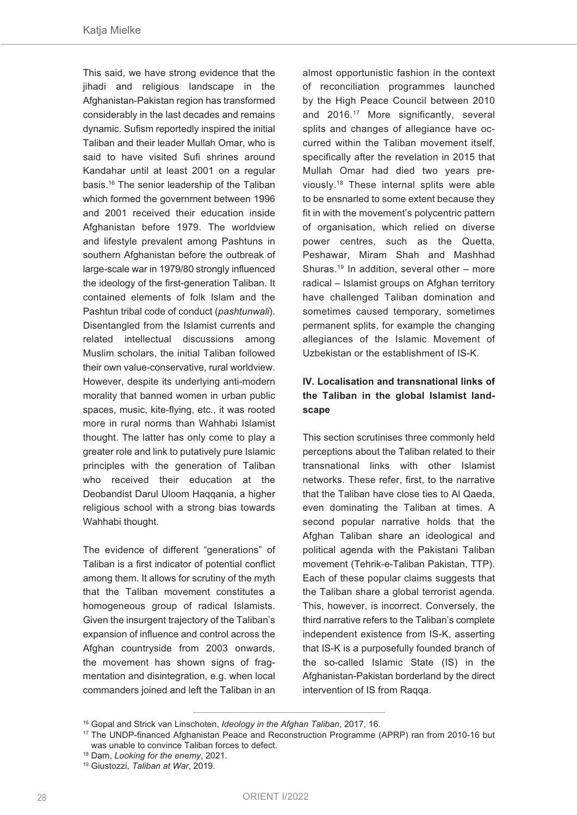This said, we have strong evidence that the jihadi and religious landscape in the Afghanistan-Pakistan region has transformed considerably in the last decades and remains dynamic. Sufism reportedly inspired the initial Taliban and their leader Mullah Omar, who is said to have visited Sufi shrines around Kandahar until at least 2001 on a regular basis. <sup>16</sup> The senior leadership of the Taliban which formed the government between 1996 and 2001 received their education inside Afghanistan before 1979. The worldview and lifestyle prevalent among Pashtuns in southern Afghanistan before the outbreak of large-scale war in 1979/80 strongly influenced the ideology of the first-generation Taliban. It contained elements of folk Islam and the Pashtun tribal code of conduct (*pashtunwali*). Disentangled from the Islamist currents and related intellectual discussions among Muslim scholars, the initial Taliban followed their own value-conservative, rural worldview. However, despite its underlying anti-modern morality that banned women in urban public spaces, music, kite-flying, etc., it was rooted more in rural norms than Wahhabi Islamist thought. The latter has only come to play a greater role and link to putatively pure Islamic principles with the generation of Taliban who received their education at the Deobandist Darul Uloom Haqqania, a higher religious school with a strong bias towards Wahhabi thought.

The evidence of different "generations" of Taliban is a first indicator of potential conflict among them. It allows for scrutiny of the myth that the Taliban movement constitutes a homogeneous group of radical Islamists. Given the insurgent trajectory of the Taliban's expansion of influence and control across the Afghan countryside from 2003 onwards, the movement has shown signs of fragmentation and disintegration, e.g. when local commanders joined and left the Taliban in an

almost opportunistic fashion in the context of reconciliation programmes launched by the High Peace Council between 2010 and 2016. <sup>17</sup> More significantly, several splits and changes of allegiance have occurred within the Taliban movement itself, specifically after the revelation in 2015 that Mullah Omar had died two years previously. <sup>18</sup> These internal splits were able to be ensnarled to some extent because they fit in with the movement's polycentric pattern of organisation, which relied on diverse power centres, such as the Quetta, Peshawar, Miram Shah and Mashhad Shuras. <sup>19</sup> In addition, several other – more radical – Islamist groups on Afghan territory have challenged Taliban domination and sometimes caused temporary, sometimes permanent splits, for example the changing allegiances of the Islamic Movement of Uzbekistan or the establishment of IS-K.

## **IV. Localisation and transnational links of the Taliban in the global Islamist landscape**

This section scrutinises three commonly held perceptions about the Taliban related to their transnational links with other Islamist networks. These refer, first, to the narrative that the Taliban have close ties to Al Qaeda, even dominating the Taliban at times. A second popular narrative holds that the Afghan Taliban share an ideological and political agenda with the Pakistani Taliban movement (Tehrik-e-Taliban Pakistan, TTP). Each of these popular claims suggests that the Taliban share a global terrorist agenda. This, however, is incorrect. Conversely, the third narrative refers to the Taliban's complete independent existence from IS-K, asserting that IS-K is a purposefully founded branch of the so-called Islamic State (IS) in the Afghanistan-Pakistan borderland by the direct intervention of IS from Raqqa.

<sup>16</sup> Gopal and Strick van Linschoten, *Ideology in the Afghan Taliban*, 2017, 16.

<sup>17</sup> The UNDP-financed Afghanistan Peace and Reconstruction Programme (APRP) ran from 2010-16 but was unable to convince Taliban forces to defect.

<sup>18</sup> Dam, *Looking for the enemy*, 2021.

<sup>19</sup> Giustozzi, *Taliban at War*, 2019.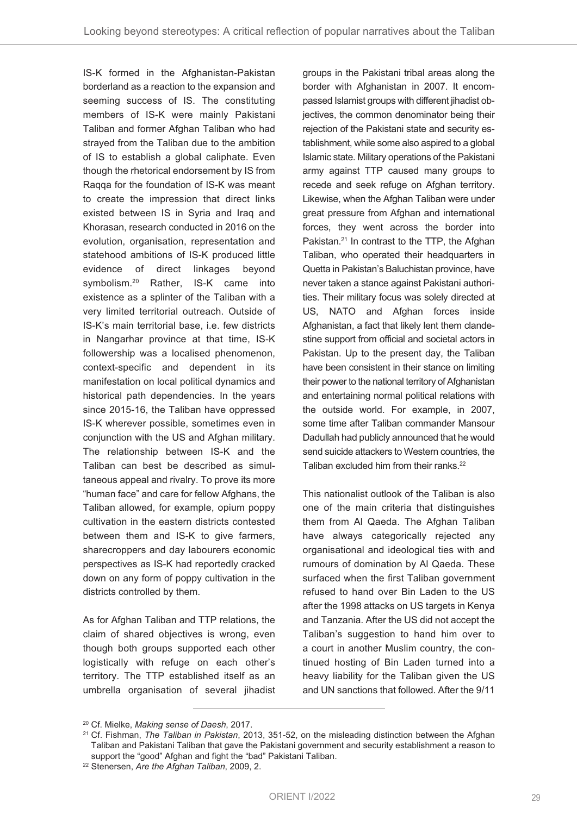IS-K formed in the Afghanistan-Pakistan borderland as a reaction to the expansion and seeming success of IS. The constituting members of IS-K were mainly Pakistani Taliban and former Afghan Taliban who had strayed from the Taliban due to the ambition of IS to establish a global caliphate. Even though the rhetorical endorsement by IS from Raqqa for the foundation of IS-K was meant to create the impression that direct links existed between IS in Syria and Iraq and Khorasan, research conducted in 2016 on the evolution, organisation, representation and statehood ambitions of IS-K produced little evidence of direct linkages beyond symbolism. <sup>20</sup> Rather, IS-K came into existence as a splinter of the Taliban with a very limited territorial outreach. Outside of IS-K's main territorial base, i.e. few districts in Nangarhar province at that time, IS-K followership was a localised phenomenon, context-specific and dependent in its manifestation on local political dynamics and historical path dependencies. In the years since 2015-16, the Taliban have oppressed IS-K wherever possible, sometimes even in conjunction with the US and Afghan military. The relationship between IS-K and the Taliban can best be described as simultaneous appeal and rivalry. To prove its more "human face" and care for fellow Afghans, the Taliban allowed, for example, opium poppy cultivation in the eastern districts contested between them and IS-K to give farmers, sharecroppers and day labourers economic perspectives as IS-K had reportedly cracked down on any form of poppy cultivation in the districts controlled by them.

As for Afghan Taliban and TTP relations, the claim of shared objectives is wrong, even though both groups supported each other logistically with refuge on each other's territory. The TTP established itself as an umbrella organisation of several jihadist groups in the Pakistani tribal areas along the border with Afghanistan in 2007. It encompassed Islamist groups with different jihadist objectives, the common denominator being their rejection of the Pakistani state and security establishment, while some also aspired to a global Islamic state. Military operations of the Pakistani army against TTP caused many groups to recede and seek refuge on Afghan territory. Likewise, when the Afghan Taliban were under great pressure from Afghan and international forces, they went across the border into Pakistan. <sup>21</sup> In contrast to the TTP, the Afghan Taliban, who operated their headquarters in Quetta in Pakistan's Baluchistan province, have never taken a stance against Pakistani authorities. Their military focus was solely directed at US, NATO and Afghan forces inside Afghanistan, a fact that likely lent them clandestine support from official and societal actors in Pakistan. Up to the present day, the Taliban have been consistent in their stance on limiting their power to the national territory of Afghanistan and entertaining normal political relations with the outside world. For example, in 2007, some time after Taliban commander Mansour Dadullah had publicly announced that he would send suicide attackers to Western countries, the Taliban excluded him from their ranks. 22

This nationalist outlook of the Taliban is also one of the main criteria that distinguishes them from Al Qaeda. The Afghan Taliban have always categorically rejected any organisational and ideological ties with and rumours of domination by Al Qaeda. These surfaced when the first Taliban government refused to hand over Bin Laden to the US after the 1998 attacks on US targets in Kenya and Tanzania. After the US did not accept the Taliban's suggestion to hand him over to a court in another Muslim country, the continued hosting of Bin Laden turned into a heavy liability for the Taliban given the US and UN sanctions that followed. After the 9/11

<sup>20</sup> Cf. Mielke, *Making sense of Daesh*, 2017.

<sup>21</sup> Cf. Fishman, *The Taliban in Pakistan*, 2013, 351-52, on the misleading distinction between the Afghan Taliban and Pakistani Taliban that gave the Pakistani government and security establishment a reason to support the "good" Afghan and fight the "bad" Pakistani Taliban.

<sup>22</sup> Stenersen, *Are the Afghan Taliban*, 2009, 2.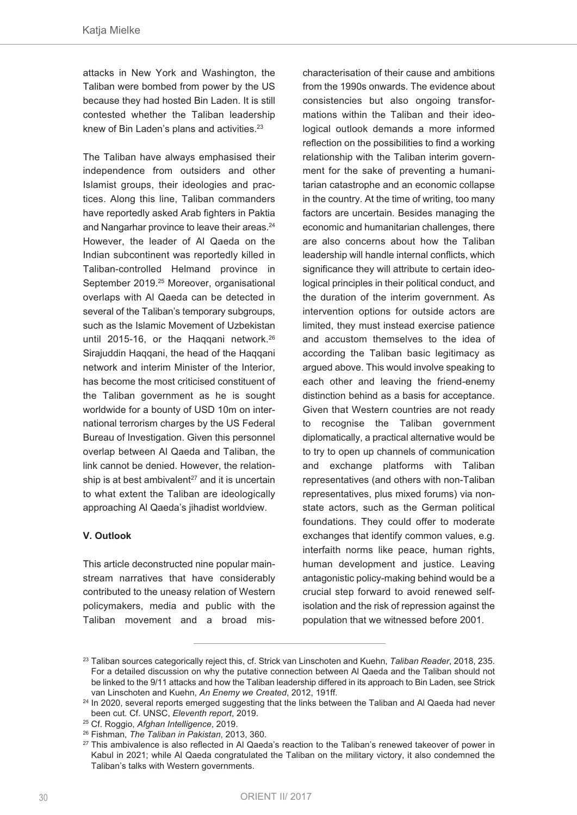attacks in New York and Washington, the Taliban were bombed from power by the US because they had hosted Bin Laden. It is still contested whether the Taliban leadership knew of Bin Laden's plans and activities. 23

The Taliban have always emphasised their independence from outsiders and other Islamist groups, their ideologies and practices. Along this line, Taliban commanders have reportedly asked Arab fighters in Paktia and Nangarhar province to leave their areas. 24 However, the leader of Al Qaeda on the Indian subcontinent was reportedly killed in Taliban-controlled Helmand province in September 2019. <sup>25</sup> Moreover, organisational overlaps with Al Qaeda can be detected in several of the Taliban's temporary subgroups, such as the Islamic Movement of Uzbekistan until 2015-16, or the Haqqani network. 26 Sirajuddin Haqqani, the head of the Haqqani network and interim Minister of the Interior, has become the most criticised constituent of the Taliban government as he is sought worldwide for a bounty of USD 10m on international terrorism charges by the US Federal Bureau of Investigation. Given this personnel overlap between Al Qaeda and Taliban, the link cannot be denied. However, the relationship is at best ambivalent <sup>27</sup> and it is uncertain to what extent the Taliban are ideologically approaching Al Qaeda's jihadist worldview.

### **V. Outlook**

This article deconstructed nine popular mainstream narratives that have considerably contributed to the uneasy relation of Western policymakers, media and public with the Taliban movement and a broad mischaracterisation of their cause and ambitions from the 1990s onwards. The evidence about consistencies but also ongoing transformations within the Taliban and their ideological outlook demands a more informed reflection on the possibilities to find a working relationship with the Taliban interim government for the sake of preventing a humanitarian catastrophe and an economic collapse in the country. At the time of writing, too many factors are uncertain. Besides managing the economic and humanitarian challenges, there are also concerns about how the Taliban leadership will handle internal conflicts, which significance they will attribute to certain ideological principles in their political conduct, and the duration of the interim government. As intervention options for outside actors are limited, they must instead exercise patience and accustom themselves to the idea of according the Taliban basic legitimacy as argued above. This would involve speaking to each other and leaving the friend-enemy distinction behind as a basis for acceptance. Given that Western countries are not ready to recognise the Taliban government diplomatically, a practical alternative would be to try to open up channels of communication and exchange platforms with Taliban representatives (and others with non-Taliban representatives, plus mixed forums) via nonstate actors, such as the German political foundations. They could offer to moderate exchanges that identify common values, e.g. interfaith norms like peace, human rights, human development and justice. Leaving antagonistic policy-making behind would be a crucial step forward to avoid renewed selfisolation and the risk of repression against the population that we witnessed before 2001.

<sup>23</sup> Taliban sources categorically reject this, cf. Strick van Linschoten and Kuehn, *Taliban Reader*, 2018, 235. For a detailed discussion on why the putative connection between Al Qaeda and the Taliban should not be linked to the 9/11 attacks and how the Taliban leadership differed in its approach to Bin Laden, see Strick van Linschoten and Kuehn, *An Enemy we Created*, 2012, 191ff.

<sup>&</sup>lt;sup>24</sup> In 2020, several reports emerged suggesting that the links between the Taliban and Al Qaeda had never been cut. Cf. UNSC, *Eleventh report*, 2019.

<sup>25</sup> Cf. Roggio, *Afghan Intelligence*, 2019.

<sup>26</sup> Fishman, *The Taliban in Pakistan*, 2013, 360.

<sup>&</sup>lt;sup>27</sup> This ambivalence is also reflected in Al Qaeda's reaction to the Taliban's renewed takeover of power in Kabul in 2021; while Al Qaeda congratulated the Taliban on the military victory, it also condemned the Taliban's talks with Western governments.